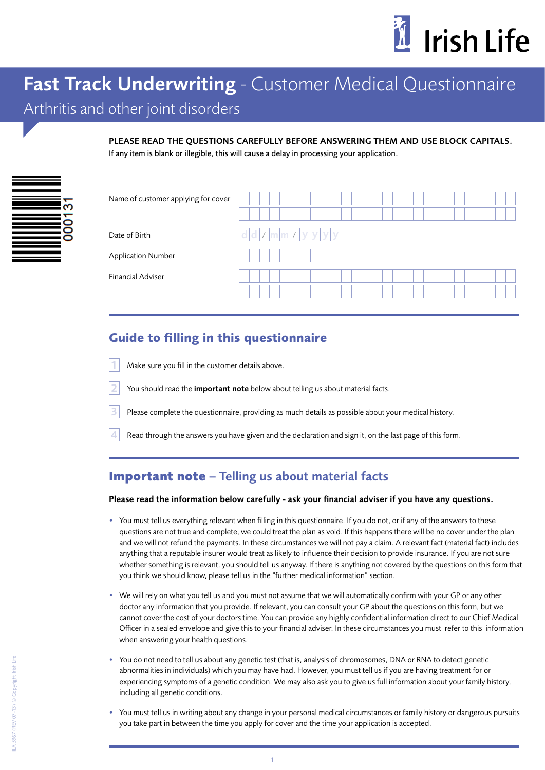

# Fast Track Underwriting - Customer Medical Questionnaire

# Arthritis and other joint disorders

| PLEASE READ THE OUESTIONS CAREFULLY BEFORE ANSWERING THEM AND USE BLOCK CAPITALS.          |
|--------------------------------------------------------------------------------------------|
| If any item is blank or illegible, this will cause a delay in processing your application. |

| Name of customer applying for cover |             |
|-------------------------------------|-------------|
| Date of Birth                       | dd/mm//yyyy |
| <b>Application Number</b>           |             |
| <b>Financial Adviser</b>            |             |
|                                     |             |

# **Guide to filling in this questionnaire**

- Make sure you fill in the customer details above.
- You should read the *important note* below about telling us about material facts.
- Please complete the questionnaire, providing as much details as possible about your medical history.
- Read through the answers you have given and the declaration and sign it, on the last page of this form.

## **Important note** – Telling us about material facts

#### Please read the information below carefully - ask your financial adviser if you have any questions.

- You must tell us everything relevant when filling in this questionnaire. If you do not, or if any of the answers to these questions are not true and complete, we could treat the plan as void. If this happens there will be no cover under the plan and we will not refund the payments. In these circumstances we will not pay a claim. A relevant fact (material fact) includes anything that a reputable insurer would treat as likely to influence their decision to provide insurance. If you are not sure whether something is relevant, you should tell us anyway. If there is anything not covered by the questions on this form that you think we should know, please tell us in the "further medical information" section.
- We will rely on what you tell us and you must not assume that we will automatically confirm with your GP or any other doctor any information that you provide. If relevant, you can consult your GP about the questions on this form, but we cannot cover the cost of your doctors time. You can provide any highly confidential information direct to our Chief Medical Officer in a sealed envelope and give this to your financial adviser. In these circumstances you must refer to this information when answering your health questions.
- You do not need to tell us about any genetic test (that is, analysis of chromosomes, DNA or RNA to detect genetic abnormalities in individuals) which you may have had. However, you must tell us if you are having treatment for or experiencing symptoms of a genetic condition. We may also ask you to give us full information about your family history, including all genetic conditions.
- You must tell us in writing about any change in your personal medical circumstances or family history or dangerous pursuits you take part in between the time you apply for cover and the time your application is accepted.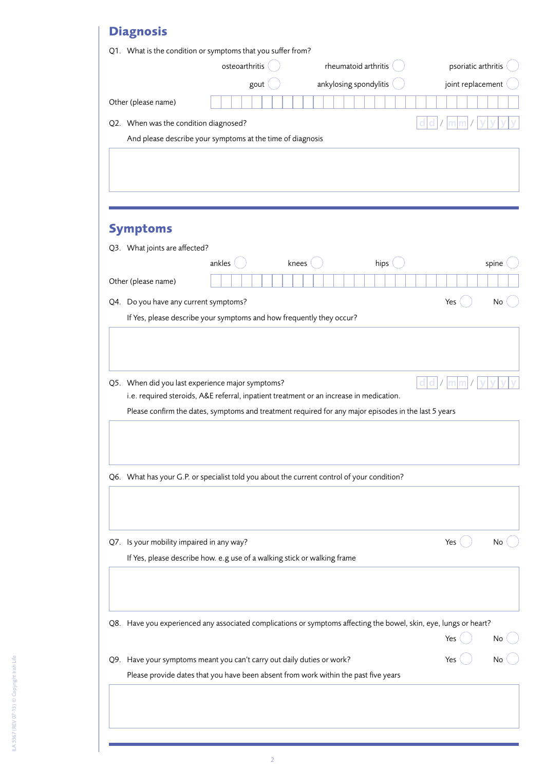# **Diagnosis**

|                                           | Q1. What is the condition or symptoms that you suffer from?                                                                                                   |       |                        |                      |      |  |                     |       |
|-------------------------------------------|---------------------------------------------------------------------------------------------------------------------------------------------------------------|-------|------------------------|----------------------|------|--|---------------------|-------|
|                                           | osteoarthritis                                                                                                                                                |       |                        | rheumatoid arthritis |      |  | psoriatic arthritis |       |
|                                           | gout                                                                                                                                                          |       | ankylosing spondylitis |                      |      |  | joint replacement   |       |
| Other (please name)                       |                                                                                                                                                               |       |                        |                      |      |  |                     |       |
| Q2. When was the condition diagnosed?     |                                                                                                                                                               |       |                        |                      |      |  |                     |       |
|                                           | And please describe your symptoms at the time of diagnosis                                                                                                    |       |                        |                      |      |  |                     |       |
|                                           |                                                                                                                                                               |       |                        |                      |      |  |                     |       |
|                                           |                                                                                                                                                               |       |                        |                      |      |  |                     |       |
|                                           |                                                                                                                                                               |       |                        |                      |      |  |                     |       |
| <b>Symptoms</b>                           |                                                                                                                                                               |       |                        |                      |      |  |                     |       |
| Q3. What joints are affected?             |                                                                                                                                                               |       |                        |                      |      |  |                     |       |
|                                           | ankles                                                                                                                                                        | knees |                        |                      | hips |  |                     | spine |
| Other (please name)                       |                                                                                                                                                               |       |                        |                      |      |  |                     |       |
| Q4. Do you have any current symptoms?     |                                                                                                                                                               |       |                        |                      |      |  | Yes                 | No    |
|                                           | If Yes, please describe your symptoms and how frequently they occur?                                                                                          |       |                        |                      |      |  |                     |       |
|                                           |                                                                                                                                                               |       |                        |                      |      |  |                     |       |
|                                           |                                                                                                                                                               |       |                        |                      |      |  |                     |       |
|                                           | Q5. When did you last experience major symptoms?                                                                                                              |       |                        |                      |      |  |                     |       |
|                                           | i.e. required steroids, A&E referral, inpatient treatment or an increase in medication.                                                                       |       |                        |                      |      |  |                     |       |
|                                           | Please confirm the dates, symptoms and treatment required for any major episodes in the last 5 years                                                          |       |                        |                      |      |  |                     |       |
|                                           |                                                                                                                                                               |       |                        |                      |      |  |                     |       |
|                                           |                                                                                                                                                               |       |                        |                      |      |  |                     |       |
|                                           | Q6. What has your G.P. or specialist told you about the current control of your condition?                                                                    |       |                        |                      |      |  |                     |       |
|                                           |                                                                                                                                                               |       |                        |                      |      |  |                     |       |
|                                           |                                                                                                                                                               |       |                        |                      |      |  |                     |       |
| Q7. Is your mobility impaired in any way? |                                                                                                                                                               |       |                        |                      |      |  | Yes                 | No    |
|                                           | If Yes, please describe how. e.g use of a walking stick or walking frame                                                                                      |       |                        |                      |      |  |                     |       |
|                                           |                                                                                                                                                               |       |                        |                      |      |  |                     |       |
|                                           |                                                                                                                                                               |       |                        |                      |      |  |                     |       |
|                                           | Q8. Have you experienced any associated complications or symptoms affecting the bowel, skin, eye, lungs or heart?                                             |       |                        |                      |      |  |                     |       |
|                                           |                                                                                                                                                               |       |                        |                      |      |  | Yes                 |       |
|                                           |                                                                                                                                                               |       |                        |                      |      |  |                     |       |
|                                           | Q9. Have your symptoms meant you can't carry out daily duties or work?<br>Please provide dates that you have been absent from work within the past five years |       |                        |                      |      |  | Yes                 |       |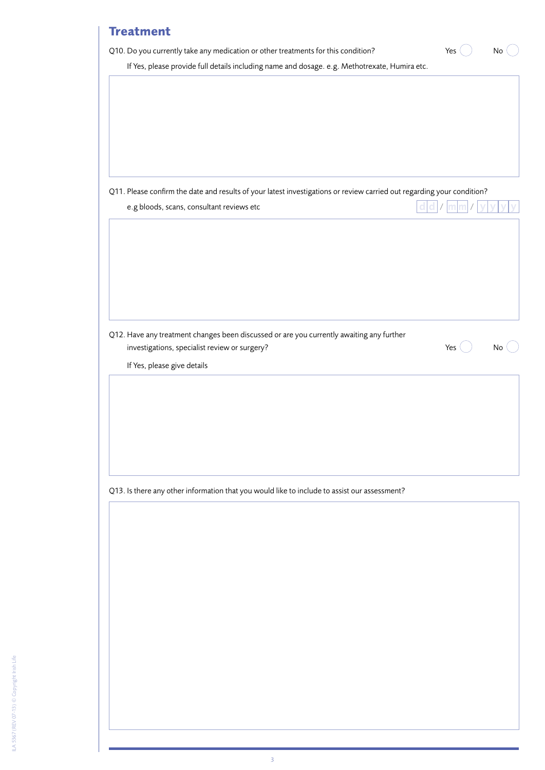| If Yes, please provide full details including name and dosage. e.g. Methotrexate, Humira etc.                          |     |    |
|------------------------------------------------------------------------------------------------------------------------|-----|----|
|                                                                                                                        |     |    |
|                                                                                                                        |     |    |
|                                                                                                                        |     |    |
|                                                                                                                        |     |    |
|                                                                                                                        |     |    |
|                                                                                                                        |     |    |
|                                                                                                                        |     |    |
| Q11. Please confirm the date and results of your latest investigations or review carried out regarding your condition? |     |    |
| e.g bloods, scans, consultant reviews etc                                                                              |     |    |
|                                                                                                                        |     |    |
|                                                                                                                        |     |    |
|                                                                                                                        |     |    |
|                                                                                                                        |     |    |
|                                                                                                                        |     |    |
|                                                                                                                        |     |    |
|                                                                                                                        |     |    |
| Q12. Have any treatment changes been discussed or are you currently awaiting any further                               |     |    |
| investigations, specialist review or surgery?                                                                          | Yes | No |
| If Yes, please give details                                                                                            |     |    |
|                                                                                                                        |     |    |
|                                                                                                                        |     |    |
|                                                                                                                        |     |    |
|                                                                                                                        |     |    |
|                                                                                                                        |     |    |
|                                                                                                                        |     |    |
|                                                                                                                        |     |    |
|                                                                                                                        |     |    |
|                                                                                                                        |     |    |
| Q13. Is there any other information that you would like to include to assist our assessment?                           |     |    |
|                                                                                                                        |     |    |
|                                                                                                                        |     |    |
|                                                                                                                        |     |    |
|                                                                                                                        |     |    |
|                                                                                                                        |     |    |
|                                                                                                                        |     |    |
|                                                                                                                        |     |    |
|                                                                                                                        |     |    |
|                                                                                                                        |     |    |
|                                                                                                                        |     |    |
|                                                                                                                        |     |    |
|                                                                                                                        |     |    |
|                                                                                                                        |     |    |
|                                                                                                                        |     |    |